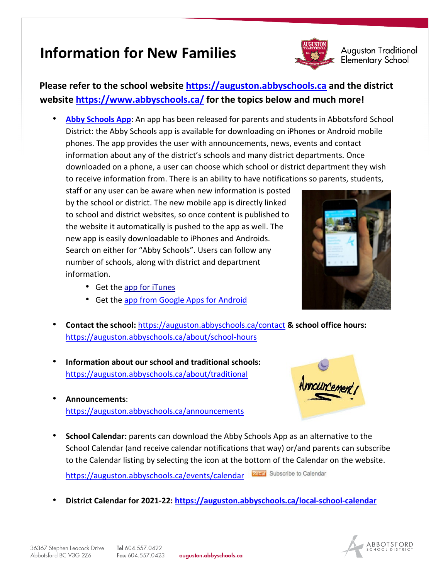## **Information for New Families**



**Auguston Traditional** Elementary School

## **Please refer to the school website [https://auguston.abbyschools.ca](https://auguston.abbyschools.ca/) and the district website<https://www.abbyschools.ca/> for the topics below and much more!**

• **[Abby Schools App](https://www.abbyschools.ca/news/new-abby-schools-app-released)**: An app has been released for parents and students in Abbotsford School District: the Abby Schools app is available for downloading on iPhones or Android mobile phones. The app provides the user with announcements, news, events and contact information about any of the district's schools and many district departments. Once downloaded on a phone, a user can choose which school or district department they wish to receive information from. There is an ability to have notifications so parents, students,

staff or any user can be aware when new information is posted by the school or district. The new mobile app is directly linked to school and district websites, so once content is published to the website it automatically is pushed to the app as well. The new app is easily downloadable to iPhones and Androids. Search on either for "Abby Schools". Users can follow any number of schools, along with district and department information.

- Get the [app for iTunes](https://itunes.apple.com/ca/app/abby-schools/id1075116746?mt=8)
- Get the [app from Google Apps for Android](https://play.google.com/store/search?q=Abbyschools)



- **Contact the school:** <https://auguston.abbyschools.ca/contact> **& school office hours:**  <https://auguston.abbyschools.ca/about/school-hours>
- **Information about our school and traditional schools:** <https://auguston.abbyschools.ca/about/traditional>
- **Announcements**: <https://auguston.abbyschools.ca/announcements>



• **School Calendar:** parents can download the Abby Schools App as an alternative to the School Calendar (and receive calendar notifications that way) or/and parents can subscribe to the Calendar listing by selecting the icon at the bottom of the Calendar on the website.

**Silcal** Subscribe to Calendar <https://auguston.abbyschools.ca/events/calendar>

• **District Calendar for 2021-22: <https://auguston.abbyschools.ca/local-school-calendar>**